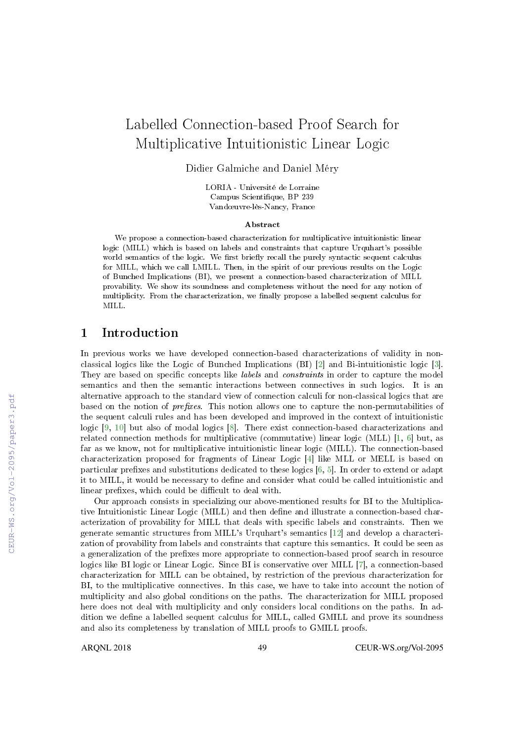# Labelled Connection-based Proof Search for Multiplicative Intuitionistic Linear Logic

Didier Galmiche and Daniel Méry

LORIA - Université de Lorraine Campus Scientique, BP 239 Vandœuvre-lès-Nancy, France

#### Abstract

We propose a connection-based characterization for multiplicative intuitionistic linear logic (MILL) which is based on labels and constraints that capture Urquhart's possible world semantics of the logic. We first briefly recall the purely syntactic sequent calculus for MILL, which we call LMILL. Then, in the spirit of our previous results on the Logic of Bunched Implications (BI), we present a connection-based characterization of MILL provability. We show its soundness and completeness without the need for any notion of multiplicity. From the characterization, we nally propose a labelled sequent calculus for MILL.

### 1 Introduction

In previous works we have developed connection-based characterizations of validity in nonclassical logics like the Logic of Bunched Implications (BI) [2] and Bi-intuitionistic logic [3]. They are based on specific concepts like *labels* and *constraints* in order to capture the model semantics and then the semantic interactions between connectives in such logics. It is an alternative approach to the standard view of connection calculi for non-classical logics that are based on the notion of *prefixes*. This notion allows one to capture the non-permutabilities of the sequent calculi rules and has been developed and improved in the context of intuitionistic logic  $[9, 10]$  but also of modal logics  $[8]$ . There exist connection-based characterizations and related connection methods for multiplicative (commutative) linear logic (MLL) [1, 6] but, as far as we know, not for multiplicative intuitionistic linear logic (MILL). The connection-based characterization proposed for fragments of Linear Logic [4] like MLL or MELL is based on particular prefixes and substitutions dedicated to these logics  $[6, 5]$ . In order to extend or adapt it to MILL, it would be necessary to define and consider what could be called intuitionistic and linear prefixes, which could be difficult to deal with.

Our approach consists in specializing our above-mentioned results for BI to the Multiplicative Intuitionistic Linear Logic (MILL) and then dene and illustrate a connection-based characterization of provability for MILL that deals with specific labels and constraints. Then we generate semantic structures from MILL's Urquhart's semantics [12] and develop a characterization of provability from labels and constraints that capture this semantics. It could be seen as a generalization of the prefixes more appropriate to connection-based proof search in resource logics like BI logic or Linear Logic. Since BI is conservative over MILL [7], a connection-based characterization for MILL can be obtained, by restriction of the previous characterization for BI, to the multiplicative connectives. In this case, we have to take into account the notion of multiplicity and also global conditions on the paths. The characterization for MILL proposed here does not deal with multiplicity and only considers local conditions on the paths. In addition we define a labelled sequent calculus for MILL, called GMILL and prove its soundness and also its completeness by translation of MILL proofs to GMILL proofs.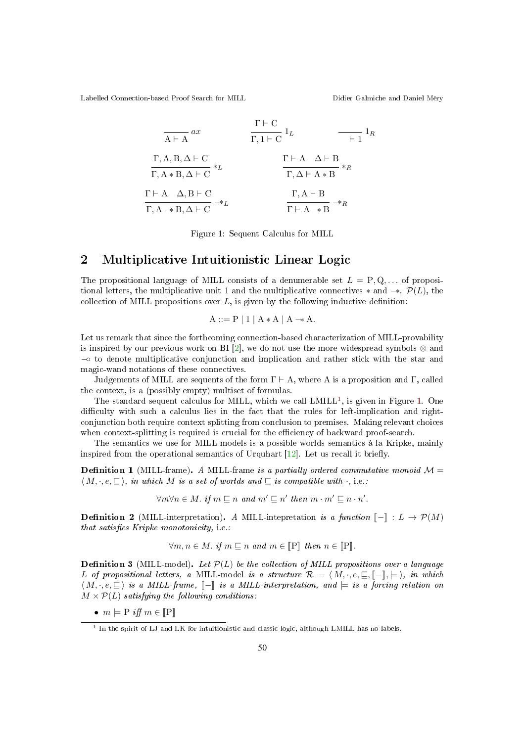$$
\frac{\Gamma \vdash C}{A \vdash A} ax \qquad \frac{\Gamma \vdash C}{\Gamma, 1 \vdash C} 1_L \qquad \frac{\vdash}{\vdash} 1_R
$$
\n
$$
\frac{\Gamma, A, B, \Delta \vdash C}{\Gamma, A * B, \Delta \vdash C} *_{L} \qquad \frac{\Gamma \vdash A \quad \Delta \vdash B}{\Gamma, \Delta \vdash A * B} *_{R}
$$
\n
$$
\frac{\Gamma \vdash A \quad \Delta, B \vdash C}{\Gamma, A \rightarrow B, \Delta \vdash C} *_{L} \qquad \frac{\Gamma, A \vdash B}{\Gamma \vdash A \rightarrow B} *_{R}
$$

Figure 1: Sequent Calculus for MILL

### 2 Multiplicative Intuitionistic Linear Logic

The propositional language of MILL consists of a denumerable set  $L = P, Q, \ldots$  of propositional letters, the multiplicative unit 1 and the multiplicative connectives  $*$  and  $-*$ .  $\mathcal{P}(L)$ , the collection of MILL propositions over  $L$ , is given by the following inductive definition:

$$
A ::= P | 1 | A * A | A \rightarrow A.
$$

Let us remark that since the forthcoming connection-based characterization of MILL-provability is inspired by our previous work on BI [2], we do not use the more widespread symbols  $\otimes$  and −◦ to denote multiplicative conjunction and implication and rather stick with the star and magic-wand notations of these connectives.

Judgements of MILL are sequents of the form  $\Gamma \vdash A$ , where A is a proposition and Γ, called the context, is a (possibly empty) multiset of formulas.

The standard sequent calculus for MILL, which we call  $LMILL<sup>1</sup>$ , is given in Figure 1. One difficulty with such a calculus lies in the fact that the rules for left-implication and rightconjunction both require context splitting from conclusion to premises. Making relevant choices when context-splitting is required is crucial for the efficiency of backward proof-search.

The semantics we use for MILL models is a possible worlds semantics à la Kripke, mainly inspired from the operational semantics of Urquhart  $[12]$ . Let us recall it briefly.

**Definition 1** (MILL-frame). A MILL-frame is a partially ordered commutative monoid  $\mathcal{M} =$  $\langle M, \cdot, e, \sqsubseteq \rangle$ , in which M is a set of worlds and  $\sqsubseteq$  is compatible with  $\cdot$ , i.e.:

$$
\forall m \forall n \in M. \text{ if } m \subseteq n \text{ and } m' \subseteq n' \text{ then } m \cdot m' \subseteq n \cdot n'.
$$

**Definition 2** (MILL-interpretation). A MILL-intepretation is a function  $\llbracket - \rrbracket : L \rightarrow \mathcal{P}(M)$ that satisfies Kripke monotonicity, i.e.:

$$
\forall m, n \in M. \text{ if } m \subseteq n \text{ and } m \in [\![P]\!]
$$
 then  $n \in [\![P]\!]$ .

**Definition 3** (MILL-model). Let  $\mathcal{P}(L)$  be the collection of MILL propositions over a language L of propositional letters, a MILL-model is a structure  $\mathcal{R} = \langle M, \cdot, e, \sqsubseteq, \llbracket -\rrbracket, \models \rangle$ , in which  $\langle M, \cdot, e, \sqsubseteq \rangle$  is a MILL-frame,  $\llbracket - \rrbracket$  is a MILL-interpretation, and  $\models$  is a forcing relation on  $M \times \mathcal{P}(L)$  satisfying the following conditions:

•  $m \models P$  iff  $m \in \llbracket P \rrbracket$ 

<sup>&</sup>lt;sup>1</sup> In the spirit of LJ and LK for intuitionistic and classic logic, although LMILL has no labels.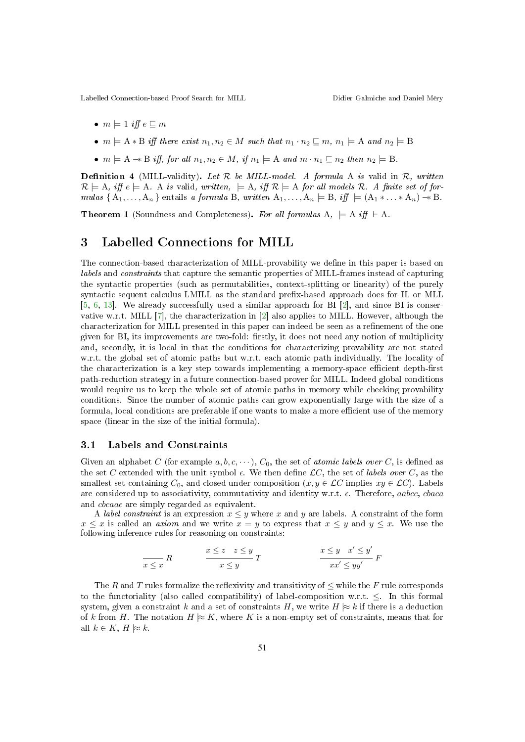- $m \models 1$  iff  $e \sqsubseteq m$
- $m \models A * B$  iff there exist  $n_1, n_2 \in M$  such that  $n_1 \cdot n_2 \sqsubseteq m$ ,  $n_1 \models A$  and  $n_2 \models B$
- $m \models A \rightarrow B$  iff, for all  $n_1, n_2 \in M$ , if  $n_1 \models A$  and  $m \cdot n_1 \sqsubseteq n_2$  then  $n_2 \models B$ .

**Definition 4** (MILL-validity). Let  $R$  be MILL-model. A formula A is valid in  $R$ , written  $\mathcal{R} \models A$ , iff  $e \models A$ . A is valid, written,  $\models A$ , iff  $\mathcal{R} \models A$  for all models  $\mathcal{R}$ . A finite set of formulas { $A_1, \ldots, A_n$ } entails a formula B, written  $A_1, \ldots, A_n \models B$ , iff  $\models (A_1 * \ldots * A_n) \rightarrow B$ .

**Theorem 1** (Soundness and Completeness). For all formulas  $A$ ,  $\models A$  iff  $\vdash A$ .

### 3 Labelled Connections for MILL

The connection-based characterization of MILL-provability we dene in this paper is based on labels and constraints that capture the semantic properties of MILL-frames instead of capturing the syntactic properties (such as permutabilities, context-splitting or linearity) of the purely syntactic sequent calculus LMILL as the standard prex-based approach does for IL or MLL [5, 6, 13]. We already successfully used a similar approach for BI  $[2]$ , and since BI is conservative w.r.t. MILL  $[7]$ , the characterization in  $[2]$  also applies to MILL. However, although the characterization for MILL presented in this paper can indeed be seen as a refinement of the one given for BI, its improvements are two-fold: firstly, it does not need any notion of multiplicity and, secondly, it is local in that the conditions for characterizing provability are not stated w.r.t. the global set of atomic paths but w.r.t. each atomic path individually. The locality of the characterization is a key step towards implementing a memory-space efficient depth-first path-reduction strategy in a future connection-based prover for MILL. Indeed global conditions would require us to keep the whole set of atomic paths in memory while checking provability conditions. Since the number of atomic paths can grow exponentially large with the size of a formula, local conditions are preferable if one wants to make a more efficient use of the memory space (linear in the size of the initial formula).

#### 3.1 Labels and Constraints

Given an alphabet C (for example a, b, c,  $\dots$ ),  $C_0$ , the set of *atomic labels over* C, is defined as the set C extended with the unit symbol  $\epsilon$ . We then define  $\mathcal{L}C$ , the set of labels over C, as the smallest set containing  $C_0$ , and closed under composition  $(x, y \in \mathcal{LC})$  implies  $xy \in \mathcal{LC}$ ). Labels are considered up to associativity, commutativity and identity w.r.t.  $\epsilon$ . Therefore, *aabcc*, *chaca* and  $cbcaae$  are simply regarded as equivalent.

A *label constraint* is an expression  $x \leq y$  where x and y are labels. A constraint of the form  $x \leq x$  is called an *axiom* and we write  $x = y$  to express that  $x \leq y$  and  $y \leq x$ . We use the following inference rules for reasoning on constraints:

$$
\frac{x \le z \le y}{x \le x} \qquad \qquad \frac{x \le z \le y}{x \le y} \qquad T \qquad \qquad \frac{x \le y \quad x' \le y'}{x x' \le y y'} \qquad F
$$

The R and T rules formalize the reflexivity and transitivity of  $\leq$  while the F rule corresponds to the functoriality (also called compatibility) of label-composition w.r.t.  $\leq$ . In this formal system, given a constraint k and a set of constraints H, we write  $H \approx k$  if there is a deduction of k from H. The notation  $H \approx K$ , where K is a non-empty set of constraints, means that for all  $k \in K$ ,  $H \approx k$ .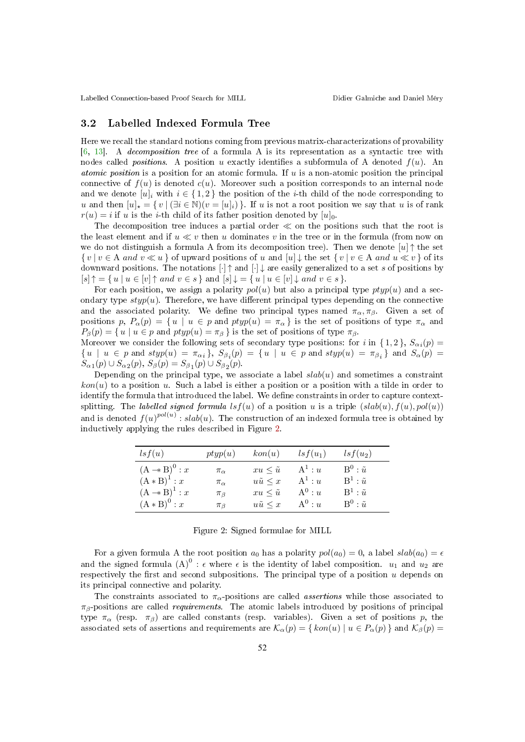#### 3.2 Labelled Indexed Formula Tree

Here we recall the standard notions coming from previous matrix-characterizations of provability [6, 13]. A decomposition tree of a formula A is its representation as a syntactic tree with nodes called *positions*. A position u exactly identifies a subformula of A denoted  $f(u)$ . An *atomic position* is a position for an atomic formula. If  $u$  is a non-atomic position the principal connective of  $f(u)$  is denoted  $c(u)$ . Moreover such a position corresponds to an internal node and we denote  $[u]_i$  with  $i \in \{1,2\}$  the position of the *i*-th child of the node corresponding to u and then  $[u]_{\star} = \{v \mid (\exists i \in \mathbb{N})(v = [u]_i)\}\.$  If u is not a root position we say that u is of rank  $r(u) = i$  if u is the *i*-th child of its father position denoted by  $[u]_0$ .

The decomposition tree induces a partial order  $\ll$  on the positions such that the root is the least element and if  $u \ll v$  then u dominates v in the tree or in the formula (from now on we do not distinguish a formula A from its decomposition tree). Then we denote  $[u] \uparrow$  the set  $\{v \mid v \in A \text{ and } v \ll u\}$  of upward positions of u and  $[u] \downarrow$  the set  $\{v \mid v \in A \text{ and } u \ll v\}$  of its downward positions. The notations  $[\cdot] \uparrow$  and  $[\cdot] \downarrow$  are easily generalized to a set s of positions by  $[s] \uparrow = \{ u \mid u \in [v] \uparrow \text{ and } v \in s \}$  and  $[s] \downarrow = \{ u \mid u \in [v] \downarrow \text{ and } v \in s \}.$ 

For each position, we assign a polarity  $pol(u)$  but also a principal type  $ptyp(u)$  and a secondary type  $styp(u)$ . Therefore, we have different principal types depending on the connective and the associated polarity. We define two principal types named  $\pi_{\alpha}, \pi_{\beta}$ . Given a set of positions p,  $P_{\alpha}(p) = \{u \mid u \in p \text{ and } ptyp(u) = \pi_{\alpha}\}\$ is the set of positions of type  $\pi_{\alpha}$  and  $P_{\beta}(p) = \{ u \mid u \in p \text{ and } ptyp(u) = \pi_{\beta} \}$  is the set of positions of type  $\pi_{\beta}$ .

Moreover we consider the following sets of secondary type positions: for i in  $\{1,2\}$ ,  $S_{\alpha i}(p)$  $\{u \mid u \in p \text{ and } \text{styp}(u) = \pi_{\alpha_i}\}, S_{\beta_i}(p) = \{u \mid u \in p \text{ and } \text{styp}(u) = \pi_{\beta_i}\}$  and  $S_{\alpha}(p) =$  $S_{\alpha 1}(p) \cup S_{\alpha 2}(p)$ ,  $S_{\beta}(p) = S_{\beta 1}(p) \cup S_{\beta 2}(p)$ .

Depending on the principal type, we associate a label  $slab(u)$  and sometimes a constraint  $kon(u)$  to a position u. Such a label is either a position or a position with a tilde in order to identify the formula that introduced the label. We define constraints in order to capture contextsplitting. The labelled signed formula lsf(u) of a position u is a triple  $(slab(u), f(u), pol(u))$ and is denoted  $f(u)^{pol(u)}$  :  $slab(u)$ . The construction of an indexed formula tree is obtained by inductively applying the rules described in Figure 2.

| lsf(u)                             | ptyp(u)        | kon(u)              | $lsf(u_1)$ | $lsf(u_2)$                   |
|------------------------------------|----------------|---------------------|------------|------------------------------|
| $(A \rightarrow B)^0 : x$          | $\pi_{\alpha}$ | $xu \leq \tilde{u}$ | $A^1: u$   | $B^0$ : $\tilde{u}$          |
| $(A * B)^1 : x$                    | $\pi_{\alpha}$ | $u\tilde{u} \leq x$ | $A^1: u$   | $B^1$ : $\tilde{u}$          |
| $(A \twoheadrightarrow B)^{1}$ : x | $\pi_{\beta}$  | $xu \leq \tilde{u}$ | $A^0: u$   | $\mathrm{B}^1$ : $\tilde{u}$ |
| $(A * B)^0 : x$                    | $\pi_{\beta}$  | $u\tilde{u} \leq x$ | $A^0: u$   | $B^0$ : $\tilde{u}$          |

Figure 2: Signed formulae for MILL

For a given formula A the root position  $a_0$  has a polarity  $pol(a_0) = 0$ , a label  $slab(a_0) = \epsilon$ and the signed formula  $(A)^0$ :  $\epsilon$  where  $\epsilon$  is the identity of label composition.  $u_1$  and  $u_2$  are respectively the first and second subpositions. The principal type of a position  $u$  depends on its principal connective and polarity.

The constraints associated to  $\pi_{\alpha}$ -positions are called *assertions* while those associated to  $\pi_{\beta}$ -positions are called *requirements*. The atomic labels introduced by positions of principal type  $\pi_{\alpha}$  (resp.  $\pi_{\beta}$ ) are called constants (resp. variables). Given a set of positions p, the associated sets of assertions and requirements are  $\mathcal{K}_{\alpha}(p) = \{ \text{kon}(u) \mid u \in P_{\alpha}(p) \}$  and  $\mathcal{K}_{\beta}(p) =$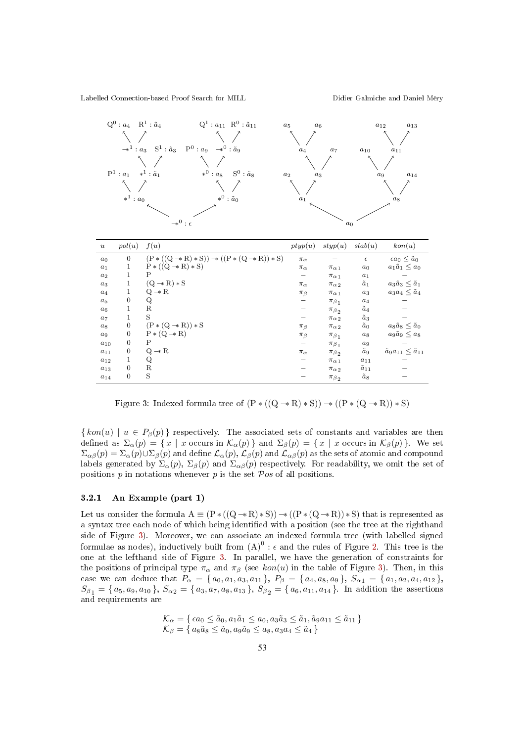|                  | $Q^0: a_4 \quad R^1: \tilde{a}_4$<br>${\rm P}^1$ : $a_1$<br>$\ast^1$ : $a_0$ | $Q^1: a_{11} R^0: \tilde{a}_{11}$<br>$P^0: a_9 \rightarrow^0 : a_9$<br>$-*^1: a_3 \quad S^1: a_3$<br>$\ast^0$ : $a_8$<br>$S^0$ : $\tilde{a}_8$<br>$\ast^1 : \tilde{a}_1$<br>$*^0$ : $\tilde{a}_0$<br>$\twoheadrightarrow^0$ : $\epsilon$ | $a_5$<br>$a_6$<br>$\boldsymbol{a}_4$<br>$a_2$<br>$a_3$<br>$a_1$ | $a_7$<br>$a_0$              | $a_{12}$<br>$\boldsymbol{a}_{10}$<br>$a_9$ | $a_{13}$<br>$a_{11}$<br>$\,a_{14}\,$<br>$a_8$ |
|------------------|------------------------------------------------------------------------------|------------------------------------------------------------------------------------------------------------------------------------------------------------------------------------------------------------------------------------------|-----------------------------------------------------------------|-----------------------------|--------------------------------------------|-----------------------------------------------|
| $\boldsymbol{u}$ | pol(u)                                                                       | f(u)                                                                                                                                                                                                                                     | ptyp(u)                                                         | style(u)                    | slab(u)                                    | kon(u)                                        |
| $a_0$            | $\boldsymbol{0}$                                                             | $(P * ((Q \rightarrow R) * S)) \rightarrow ((P * (Q \rightarrow R)) * S)$                                                                                                                                                                | $\pi_{\alpha}$                                                  |                             | $\epsilon$                                 | $\epsilon a_0 \leq \tilde{a}_0$               |
| $a_1$            | 1                                                                            | $P * ((Q \rightarrow R) * S)$                                                                                                                                                                                                            | $\pi_{\alpha}$                                                  | $\pi_{\alpha 1}$            | $a_0$                                      | $a_1\tilde{a}_1\leq a_0$                      |
| a <sub>2</sub>   | $\mathbf{1}$                                                                 | P                                                                                                                                                                                                                                        |                                                                 | $\pi_{\alpha}$ <sub>1</sub> | $a_1$                                      |                                               |
| $a_3$            | $\mathbf{1}$                                                                 | $(Q \rightarrow R) * S$                                                                                                                                                                                                                  | $\pi_{\alpha}$                                                  | $\pi_{\alpha\,2}$           | $\tilde{a}_1$                              | $a_3\tilde{a}_3\leq \tilde{a}_1$              |
| $a_4$            | $\mathbf 1$                                                                  | $Q \rightarrow R$                                                                                                                                                                                                                        | $\pi_{\beta}$                                                   | $\pi_{\alpha 1}$            | $a_3$                                      | $a_3a_4 \leq \tilde{a}_4$                     |
| $a_5$            | $\boldsymbol{0}$                                                             | Q                                                                                                                                                                                                                                        |                                                                 | $\pi_{\beta_1}$             | $a_4$                                      |                                               |
| $a_6$            | 1                                                                            | $_{\rm R}$                                                                                                                                                                                                                               |                                                                 | $\pi_{\beta_{2}}$           | $\tilde{a}_4$                              |                                               |
| $a_7$            | $\mathbf 1$                                                                  | S                                                                                                                                                                                                                                        |                                                                 | $\pi_{\alpha}$ <sub>2</sub> | $\tilde{a}_3$                              |                                               |
| $a_8$            | $\overline{0}$                                                               | $(P*(Q \rightarrow R))*S$                                                                                                                                                                                                                | $\pi_{\beta}$                                                   | $\pi_{\alpha}$ <sub>2</sub> | $\tilde{a}_0$                              | $a_8\tilde{a}_8\leq \tilde{a}_0$              |
| $a_9$            | $\boldsymbol{0}$                                                             | $P * (Q \rightarrow R)$                                                                                                                                                                                                                  | $\pi_{\beta}$                                                   | $\pi_{\beta_1}$             | $a_8$                                      | $a_9\tilde{a}_9\leq a_8$                      |
| $a_{10}$         | $\overline{0}$                                                               | P                                                                                                                                                                                                                                        |                                                                 | $\pi_{\beta_1}$             | $a_9$                                      |                                               |
| $a_{11}$         | $\overline{0}$                                                               | $Q \rightarrow R$                                                                                                                                                                                                                        | $\pi_{\alpha}$                                                  | $\pi_{\beta_2}$             | $\tilde{a}_9$                              | $\tilde{a}_9a_{11} \leq \tilde{a}_{11}$       |
| $a_{12}$         | 1                                                                            | Q                                                                                                                                                                                                                                        |                                                                 | $\pi_{\alpha}$ <sub>1</sub> | $a_{11}$                                   |                                               |
| $a_{13}$         | $\boldsymbol{0}$                                                             | $\rm R$                                                                                                                                                                                                                                  |                                                                 | $\pi_{\alpha}$ <sub>2</sub> | $\tilde{a}_{11}$                           |                                               |
| $a_{14}$         | 0                                                                            | S                                                                                                                                                                                                                                        |                                                                 | $\pi_{\beta_2}$             | $\tilde{a}_8$                              |                                               |

Figure 3: Indexed formula tree of  $(P * ((Q \rightarrow R) * S)) \rightarrow ((P * (Q \rightarrow R)) * S)$ 

 $\{ kon(u) \mid u \in P_{\beta}(p) \}$  respectively. The associated sets of constants and variables are then defined as  $\Sigma_{\alpha}(p) = \{x \mid x \text{ occurs in } \mathcal{K}_{\alpha}(p)\}\$  and  $\Sigma_{\beta}(p) = \{x \mid x \text{ occurs in } \mathcal{K}_{\beta}(p)\}\$ . We set  $\Sigma_{\alpha\beta}(p) = \Sigma_{\alpha}(p) \cup \Sigma_{\beta}(p)$  and define  $\mathcal{L}_{\alpha}(p)$ ,  $\mathcal{L}_{\beta}(p)$  and  $\mathcal{L}_{\alpha\beta}(p)$  as the sets of atomic and compound labels generated by  $\Sigma_{\alpha}(p)$ ,  $\Sigma_{\beta}(p)$  and  $\Sigma_{\alpha\beta}(p)$  respectively. For readability, we omit the set of positions  $p$  in notations whenever  $p$  is the set  $\mathcal{P}os$  of all positions.

#### 3.2.1 An Example (part 1)

Let us consider the formula  $A \equiv (P * ((Q \rightarrow R) * S)) \rightarrow ((P * (Q \rightarrow R)) * S)$  that is represented as a syntax tree each node of which being identified with a position (see the tree at the righthand side of Figure 3). Moreover, we can associate an indexed formula tree (with labelled signed formulae as nodes), inductively built from  $(A)^0: \epsilon$  and the rules of Figure 2. This tree is the one at the lefthand side of Figure 3. In parallel, we have the generation of constraints for the positions of principal type  $\pi_\alpha$  and  $\pi_\beta$  (see  $kon(u)$  in the table of Figure 3). Then, in this case we can deduce that  $P_{\alpha} = \{a_0, a_1, a_3, a_{11}\}, P_{\beta} = \{a_4, a_8, a_9\}, S_{\alpha 1} = \{a_1, a_2, a_4, a_{12}\},$  $S_{\beta_1} = \{a_5, a_9, a_{10}\}, S_{\alpha_2} = \{a_3, a_7, a_8, a_{13}\}, S_{\beta_2} = \{a_6, a_{11}, a_{14}\}.$  In addition the assertions and requirements are

$$
\mathcal{K}_{\alpha} = \{ \epsilon a_0 \le \tilde{a}_0, a_1 \tilde{a}_1 \le a_0, a_3 \tilde{a}_3 \le \tilde{a}_1, \tilde{a}_9 a_{11} \le \tilde{a}_{11} \}
$$
  

$$
\mathcal{K}_{\beta} = \{ a_8 \tilde{a}_8 \le \tilde{a}_0, a_9 \tilde{a}_9 \le a_8, a_3 a_4 \le \tilde{a}_4 \}
$$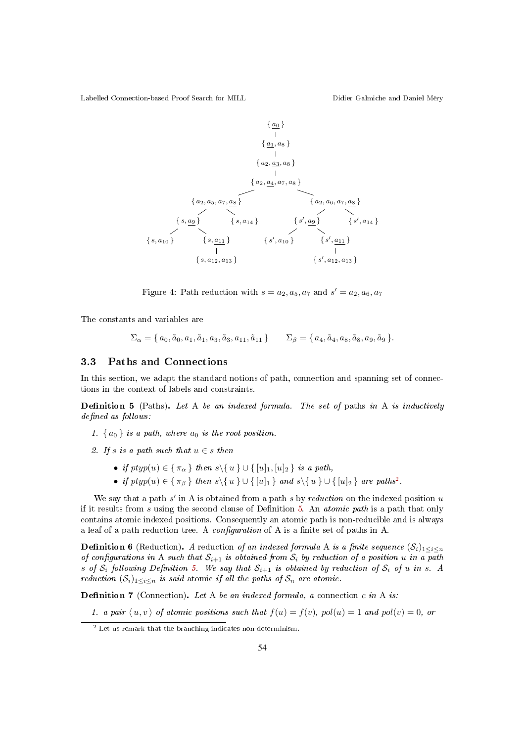

Figure 4: Path reduction with  $s = a_2, a_5, a_7$  and  $s' = a_2, a_6, a_7$ 

The constants and variables are

$$
\Sigma_{\alpha} = \{ a_0, \tilde{a}_0, a_1, \tilde{a}_1, a_3, \tilde{a}_3, a_{11}, \tilde{a}_{11} \} \qquad \Sigma_{\beta} = \{ a_4, \tilde{a}_4, a_8, \tilde{a}_8, a_9, \tilde{a}_9 \}.
$$

#### 3.3 Paths and Connections

In this section, we adapt the standard notions of path, connection and spanning set of connections in the context of labels and constraints.

**Definition 5** (Paths). Let A be an indexed formula. The set of paths in A is inductively defined as follows:

- 1.  $\{a_0\}$  is a path, where  $a_0$  is the root position.
- 2. If s is a path such that  $u \in s$  then
	- if  $ptyp(u) \in {\pi_\alpha}$  then  $s \setminus {u} \cup {\{u_1, [u]_2\}}$  is a path,
	- if  $ptyp(u) \in {\pi_\beta}$  } then  $s \setminus \{u\} \cup \{[u]_1\}$  and  $s \setminus \{u\} \cup \{[u]_2\}$  are paths<sup>2</sup>.

We say that a path  $s'$  in A is obtained from a path  $s$  by reduction on the indexed position  $u$ if it results from s using the second clause of Definition 5. An *atomic path* is a path that only contains atomic indexed positions. Consequently an atomic path is non-reducible and is always a leaf of a path reduction tree. A *configuration* of A is a finite set of paths in A.

**Definition 6** (Reduction). A reduction of an indexed formula A is a finite sequence  $(S_i)_{1 \leq i \leq n}$ of configurations in A such that  $S_{i+1}$  is obtained from  $S_i$  by reduction of a position u in a path s of  $S_i$  following Definition 5. We say that  $S_{i+1}$  is obtained by reduction of  $S_i$  of u in s. A reduction  $(S_i)_{1 \leq i \leq n}$  is said atomic if all the paths of  $S_n$  are atomic.

**Definition 7** (Connection). Let A be an indexed formula, a connection c in A is:

1. a pair  $\langle u, v \rangle$  of atomic positions such that  $f(u) = f(v)$ , pol(u) = 1 and pol(v) = 0, or

<sup>2</sup> Let us remark that the branching indicates non-determinism.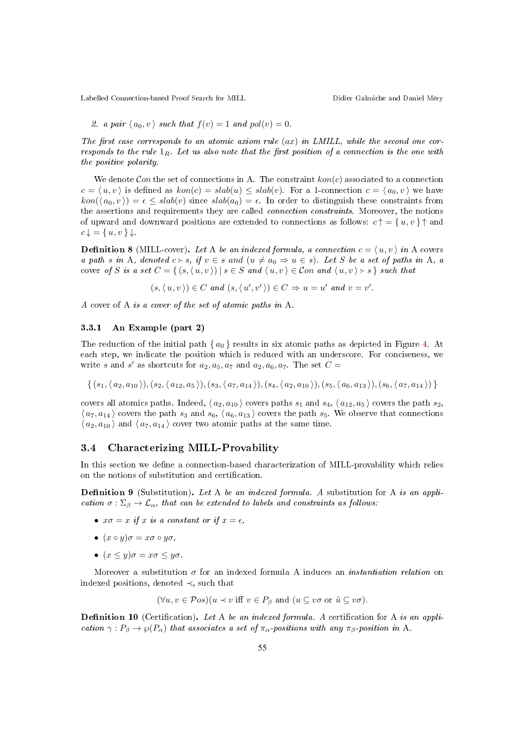2. a pair 
$$
\langle a_0, v \rangle
$$
 such that  $f(v) = 1$  and  $pol(v) = 0$ .

The first case corresponds to an atomic axiom rule  $(ax)$  in LMILL, while the second one corresponds to the rule  $1_R$ . Let us also note that the first position of a connection is the one with the positive polarity.

We denote Con the set of connections in A. The constraint  $kon(c)$  associated to a connection  $c = \langle u, v \rangle$  is defined as  $kon(c) = slab(u) \leq slab(v)$ . For a 1-connection  $c = \langle a_0, v \rangle$  we have  $kon(\langle a_0, v \rangle) = \epsilon \leq slab(v)$  since  $slab(a_0) = \epsilon$ . In order to distinguish these constraints from the assertions and requirements they are called *connection constraints*. Moreover, the notions of upward and downward positions are extended to connections as follows:  $c \uparrow = \{u, v\} \uparrow$  and  $c \downarrow = \{u, v\} \downarrow.$ 

**Definition 8** (MILL-cover). Let A be an indexed formula, a connection  $c = \langle u, v \rangle$  in A covers a path s in A, denoted  $c > s$ , if  $v \in s$  and  $(u \neq a_0 \Rightarrow u \in s)$ . Let S be a set of paths in A, a cover of S is a set  $C = \{ (s, \langle u, v \rangle) | s \in S \text{ and } \langle u, v \rangle \in \mathcal{C}$  and  $\langle u, v \rangle > s \}$  such that

 $(s, \langle u, v \rangle) \in C$  and  $(s, \langle u', v' \rangle) \in C \Rightarrow u = u'$  and  $v = v'$ .

A cover of A is a cover of the set of atomic paths in A.

#### 3.3.1 An Example (part 2)

The reduction of the initial path  $\{a_0\}$  results in six atomic paths as depicted in Figure 4. At each step, we indicate the position which is reduced with an underscore. For conciseness, we write s and s' as shortcuts for  $a_2, a_5, a_7$  and  $a_2, a_6, a_7$ . The set  $C =$ 

 $\{ (s_1,\langle a_2,a_{10} \rangle), (s_2,\langle a_{12}, a_5 \rangle), (s_3,\langle a_7,a_{14} \rangle), (s_4,\langle a_2,a_{10} \rangle), (s_5,\langle a_6,a_{13} \rangle), (s_6,\langle a_7,a_{14} \rangle) \}$ 

covers all atomics paths. Indeed,  $\langle a_2, a_{10} \rangle$  covers paths  $s_1$  and  $s_4$ ,  $\langle a_{12}, a_5 \rangle$  covers the path  $s_2$ ,  $\langle a_7, a_{14} \rangle$  covers the path  $s_3$  and  $s_6, \langle a_6, a_{13} \rangle$  covers the path  $s_5$ . We observe that connections  $\langle a_2, a_{10} \rangle$  and  $\langle a_7, a_{14} \rangle$  cover two atomic paths at the same time.

#### 3.4 Characterizing MILL-Provability

In this section we define a connection-based characterization of MILL-provability which relies on the notions of substitution and certification.

**Definition 9** (Substitution). Let A be an indexed formula. A substitution for A is an application  $\sigma : \Sigma_{\beta} \to \mathcal{L}_{\alpha}$ , that can be extended to labels and constraints as follows:

- $x\sigma = x$  if x is a constant or if  $x = \epsilon$ ,
- $(x \circ y)\sigma = x\sigma \circ y\sigma$ ,
- $(x \leq y) \sigma = x \sigma \leq y \sigma$ .

Moreover a substitution  $\sigma$  for an indexed formula A induces an *instantiation relation* on indexed positions, denoted ≺, such that

$$
(\forall u, v \in \mathcal{P}os)(u \prec v \text{ iff } v \in P_{\beta} \text{ and } (u \subseteq v\sigma \text{ or } \tilde{u} \subseteq v\sigma).
$$

**Definition 10** (Certification). Let A be an indexed formula. A certification for A is an application  $\gamma: P_\beta \to \wp(P_\alpha)$  that associates a set of  $\pi_\alpha$ -positions with any  $\pi_\beta$ -position in A.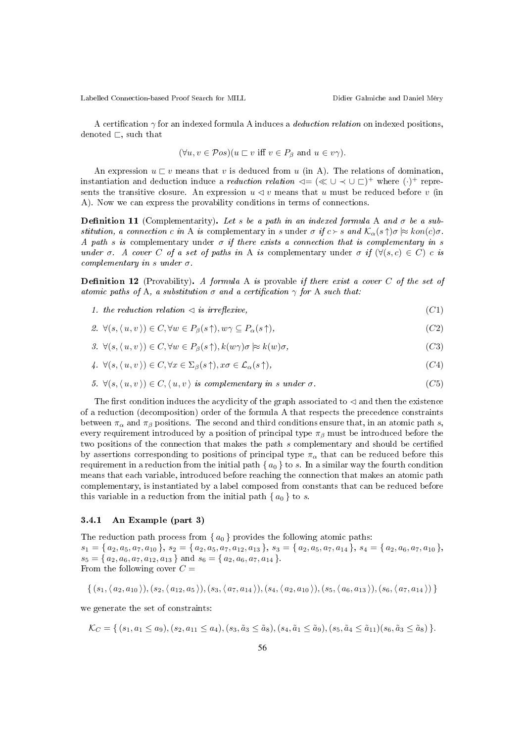A certification  $\gamma$  for an indexed formula A induces a *deduction relation* on indexed positions, denoted  $\sqsubset$ , such that

$$
(\forall u, v \in \mathcal{P}os)(u \sqsubset v \text{ iff } v \in P_{\beta} \text{ and } u \in v\gamma).
$$

An expression  $u \sqsubset v$  means that v is deduced from u (in A). The relations of domination, instantiation and deduction induce a *reduction relation*  $\lhd = (\ll \cup \prec \cup \sqsubset)^+$  where  $(\cdot)^+$  represents the transitive closure. An expression  $u \triangleleft v$  means that u must be reduced before v (in A). Now we can express the provability conditions in terms of connections.

**Definition 11** (Complementarity). Let s be a path in an indexed formula A and  $\sigma$  be a substitution, a connection c in A is complementary in s under  $\sigma$  if  $c > s$  and  $\mathcal{K}_{\alpha}(s \uparrow) \sigma \approx kon(c) \sigma$ . A path s is complementary under  $\sigma$  if there exists a connection that is complementary in s under  $\sigma$ . A cover C of a set of paths in A is complementary under  $\sigma$  if  $(\forall (s,c) \in C)$  c is complementary in s under  $\sigma$ .

**Definition 12** (Provability). A formula A is provable if there exist a cover C of the set of atomic paths of A, a substitution  $\sigma$  and a certification  $\gamma$  for A such that:

- 1. the reduction relation  $\leq$  is irreflexive,  $(C1)$
- 2.  $\forall (s, \langle u, v \rangle) \in C, \forall w \in P_{\beta}(s \uparrow), w\gamma \subseteq P_{\alpha}(s \uparrow),$  (C2)
- 3.  $\forall (s, \langle u, v \rangle) \in C, \forall w \in P_{\beta}(s \uparrow), k(w \gamma) \sigma \approx k(w) \sigma,$  (C3)
- 4.  $\forall (s, \langle u, v \rangle) \in C, \forall x \in \Sigma_{\beta}(s^{\uparrow}), x\sigma \in \mathcal{L}_{\alpha}(s^{\uparrow}),$  (C4)
- 5.  $\forall (s, \langle u, v \rangle) \in C, \langle u, v \rangle$  is complementary in s under  $\sigma$ . (C5)

The first condition induces the acyclicity of the graph associated to  $\triangleleft$  and then the existence of a reduction (decomposition) order of the formula A that respects the precedence constraints between  $\pi_{\alpha}$  and  $\pi_{\beta}$  positions. The second and third conditions ensure that, in an atomic path s, every requirement introduced by a position of principal type  $\pi_\beta$  must be introduced before the two positions of the connection that makes the path s complementary and should be certified by assertions corresponding to positions of principal type  $\pi_{\alpha}$  that can be reduced before this requirement in a reduction from the initial path { $a_0$  } to s. In a similar way the fourth condition means that each variable, introduced before reaching the connection that makes an atomic path complementary, is instantiated by a label composed from constants that can be reduced before this variable in a reduction from the initial path  $\{a_0\}$  to s.

#### 3.4.1 An Example (part 3)

The reduction path process from  $\{a_0\}$  provides the following atomic paths:  $s_1 = \{a_2, a_5, a_7, a_{10}\}, s_2 = \{a_2, a_5, a_7, a_{12}, a_{13}\}, s_3 = \{a_2, a_5, a_7, a_{14}\}, s_4 = \{a_2, a_6, a_7, a_{10}\},$  $s_5 = \{ a_2, a_6, a_7, a_{12}, a_{13} \}$  and  $s_6 = \{ a_2, a_6, a_7, a_{14} \}.$ From the following cover  $C =$ 

$$
\{ (s_1, \langle a_2, a_{10} \rangle), (s_2, \langle a_{12}, a_5 \rangle), (s_3, \langle a_7, a_{14} \rangle), (s_4, \langle a_2, a_{10} \rangle), (s_5, \langle a_6, a_{13} \rangle), (s_6, \langle a_7, a_{14} \rangle) \}
$$

we generate the set of constraints:

$$
\mathcal{K}_C = \{ (s_1, a_1 \le a_9), (s_2, a_{11} \le a_4), (s_3, \tilde{a}_3 \le \tilde{a}_8), (s_4, \tilde{a}_1 \le \tilde{a}_9), (s_5, \tilde{a}_4 \le \tilde{a}_{11})(s_6, \tilde{a}_3 \le \tilde{a}_8) \}.
$$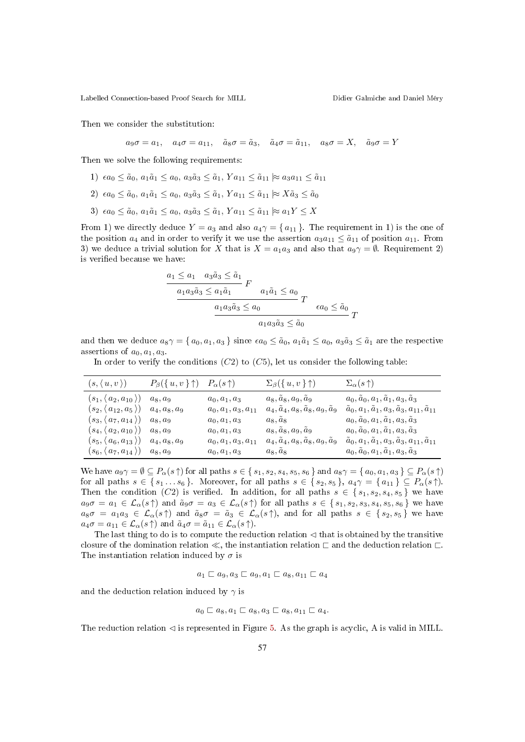Then we consider the substitution:

$$
a_9\sigma = a_1
$$
,  $a_4\sigma = a_{11}$ ,  $\tilde{a}_8\sigma = \tilde{a}_3$ ,  $\tilde{a}_4\sigma = \tilde{a}_{11}$ ,  $a_8\sigma = X$ ,  $\tilde{a}_9\sigma = Y$ 

Then we solve the following requirements:

- 1)  $\epsilon a_0 \leq \tilde{a}_0, a_1 \tilde{a}_1 \leq a_0, a_3 \tilde{a}_3 \leq \tilde{a}_1, Y a_{11} \leq \tilde{a}_{11} \approx a_3 a_{11} \leq \tilde{a}_{11}$
- 2)  $\epsilon a_0 \leq \tilde{a}_0, a_1 \tilde{a}_1 \leq a_0, a_3 \tilde{a}_3 \leq \tilde{a}_1, Y a_{11} \leq \tilde{a}_{11} \approx X \tilde{a}_3 \leq \tilde{a}_0$
- 3)  $\epsilon a_0 \leq \tilde{a}_0, a_1 \tilde{a}_1 \leq a_0, a_3 \tilde{a}_3 \leq \tilde{a}_1, Y a_{11} \leq \tilde{a}_{11} \approx a_1 Y \leq X$

From 1) we directly deduce  $Y = a_3$  and also  $a_4\gamma = \{a_{11}\}\.$  The requirement in 1) is the one of the position  $a_4$  and in order to verify it we use the assertion  $a_3a_{11} \leq \tilde{a}_{11}$  of position  $a_{11}$ . From 3) we deduce a trivial solution for X that is  $X = a_1 a_3$  and also that  $a_9 \gamma = \emptyset$ . Requirement 2) is verified because we have:

$$
\frac{a_1 \le a_1 \quad a_3 \tilde{a}_3 \le \tilde{a}_1}{\frac{a_1 a_3 \tilde{a}_3 \le a_1 \tilde{a}_1}{\frac{a_1 a_3 \tilde{a}_3 \le a_0}{\frac{a_1 a_3 \tilde{a}_3 \le a_0}{\frac{a_1 a_3 \tilde{a}_3 \le \tilde{a}_0}{\frac{a_1 a_3 \tilde{a}_3 \le \tilde{a}_0}{\frac{a_1 a_3 \tilde{a}_3 \le \tilde{a}_0}{\frac{a_1 a_3 \tilde{a}_3 \le a_0}{\frac{a_1 a_3 \tilde{a}_3 \le a_0}{\frac{a_1 a_2 a_3 \le a_0}{\frac{a_1 a_3 a_3 \le a_0}{\frac{a_1 a_3 a_3 \le a_0}{\frac{a_1 a_3 a_3 \le a_0}{\frac{a_1 a_3 a_3 \le a_0}{\frac{a_1 a_3 a_3 \le a_0}{\frac{a_1 a_3 a_3 \le a_0}{\frac{a_1 a_3 a_3 \le a_0}{\frac{a_1 a_3 a_3 \le a_0}{\frac{a_1 a_3 a_3 \le a_0}{\frac{a_1 a_3 a_3 \le a_0}{\frac{a_1 a_3 a_3 \le a_0}{\frac{a_1 a_3 a_3 \le a_0}{\frac{a_1 a_3 a_3 \le a_0}{\frac{a_1 a_3 a_3 \le a_0}{\frac{a_1 a_3 a_3 \le a_0}{\frac{a_1 a_3 a_3 \le a_0}{\frac{a_1 a_3 a_3 \le a_0}{\frac{a_1 a_3 a_3 \le a_0}{\frac{a_1 a_3 a_3 \le a_0}{\frac{a_1 a_3 a_3 \le a_0}{\frac{a_1 a_3 a_3 \le a_0}{\frac{a_1 a_3 a_3 \le a_0}{\frac{a_1 a_3 a_3 \le a_0}{\frac{a_1 a_3 a_3 \le a_0}{\frac{a_1 a_3 a_3 \le a_0}{\frac{a_1 a_3 a_3 \le a_0}{\frac{a_1 a_3 a_3 \le a_0}{\frac{a_1 a_3 a_3 \le a_0}{\frac{a_1 a_3 a
$$

and then we deduce  $a_8\gamma = \{a_0, a_1, a_3\}$  since  $\epsilon a_0 \leq \tilde{a}_0$ ,  $a_1\tilde{a}_1 \leq a_0$ ,  $a_3\tilde{a}_3 \leq \tilde{a}_1$  are the respective assertions of  $a_0, a_1, a_3$ .

In order to verify the conditions  $(C2)$  to  $(C5)$ , let us consider the following table:

| $(s, \langle u, v \rangle)$                        | $P_{\beta}(\{u,v\}\uparrow)$ | $P_{\alpha}(s\,\uparrow)$ | $\Sigma_{\beta}(\{u,v\}\uparrow)$ | $\Sigma_{\alpha}(s\,\uparrow)$                                            |
|----------------------------------------------------|------------------------------|---------------------------|-----------------------------------|---------------------------------------------------------------------------|
| $(s_1, (a_2, a_{10}))$                             | $a_8, a_9$                   | $a_0, a_1, a_3$           | $a_8, a_8, a_9, a_9$              | $a_0, a_0, a_1, a_1, a_3, a_3$                                            |
| $(s_2,\langle\,a_{12},a_5\,\rangle)$               | $a_4, a_8, a_9$              | $a_0, a_1, a_3, a_{11}$   | $a_4, a_4, a_8, a_8, a_9, a_9$    | $\tilde{a}_0, a_1, \tilde{a}_1, a_3, \tilde{a}_3, a_{11}, \tilde{a}_{11}$ |
| $(s_3, \langle a_7, a_{14} \rangle)$               | $a_8, a_9$                   | $a_0, a_1, a_3$           | $a_8, a_8$                        | $a_0, \tilde{a}_0, a_1, \tilde{a}_1, a_3, \tilde{a}_3$                    |
| $(s_4, (a_2, a_{10}))$                             | $a_8, a_9$                   | $a_0, a_1, a_3$           | $a_8, a_8, a_9, a_9$              | $a_0, a_0, a_1, a_1, a_3, a_3$                                            |
| $\langle s_5, \langle a_6, a_{13} \rangle \rangle$ | $a_4, a_8, a_9$              | $a_0, a_1, a_3, a_{11}$   | $a_4, a_4, a_8, a_8, a_9, a_9$    | $\tilde{a}_0, a_1, \tilde{a}_1, a_3, \tilde{a}_3, a_{11}, \tilde{a}_{11}$ |
| $\langle s_6, \langle\, a_7, a_{14}\,\rangle)$     | $a_8, a_9$                   | $a_0, a_1, a_3$           | $a_8, \tilde{a}_8$                | $a_0, \tilde{a}_0, a_1, \tilde{a}_1, a_3, \tilde{a}_3$                    |

We have  $a_9\gamma = \emptyset \subseteq P_\alpha(s\uparrow)$  for all paths  $s \in \{s_1, s_2, s_4, s_5, s_6\}$  and  $a_8\gamma = \{a_0, a_1, a_3\} \subseteq P_\alpha(s\uparrow)$ for all paths  $s \in \{s_1, \ldots s_6\}$ . Moreover, for all paths  $s \in \{s_2, s_5\}$ ,  $a_4\gamma = \{a_{11}\} \subseteq P_\alpha(s\uparrow)$ . Then the condition (C2) is verified. In addition, for all paths  $s \in \{s_1, s_2, s_4, s_5\}$  we have  $a_9\sigma = a_1 \in \mathcal{L}_{\alpha}(s\uparrow)$  and  $\tilde{a}_9\sigma = a_3 \in \mathcal{L}_{\alpha}(s\uparrow)$  for all paths  $s \in \{s_1, s_2, s_3, s_4, s_5, s_6\}$  we have  $a_8\sigma = a_1a_3 \in \mathcal{L}_{\alpha}(s\uparrow)$  and  $\tilde{a}_8\sigma = \tilde{a}_3 \in \mathcal{L}_{\alpha}(s\uparrow)$ , and for all paths  $s \in \{s_2, s_5\}$  we have  $a_4\sigma = a_{11} \in \mathcal{L}_{\alpha}(s\uparrow)$  and  $\tilde{a}_4\sigma = \tilde{a}_{11} \in \mathcal{L}_{\alpha}(s\uparrow)$ .

The last thing to do is to compute the reduction relation  $\triangleleft$  that is obtained by the transitive closure of the domination relation  $\ll$ , the instantiation relation  $\sqsubset$  and the deduction relation  $\sqsubset$ . The instantiation relation induced by  $\sigma$  is

$$
a_1 \sqsubset a_9, a_3 \sqsubset a_9, a_1 \sqsubset a_8, a_{11} \sqsubset a_4
$$

and the deduction relation induced by  $\gamma$  is

$$
a_0 \sqsubset a_8, a_1 \sqsubset a_8, a_3 \sqsubset a_8, a_{11} \sqsubset a_4.
$$

The reduction relation  $\triangleleft$  is represented in Figure 5. As the graph is acyclic, A is valid in MILL.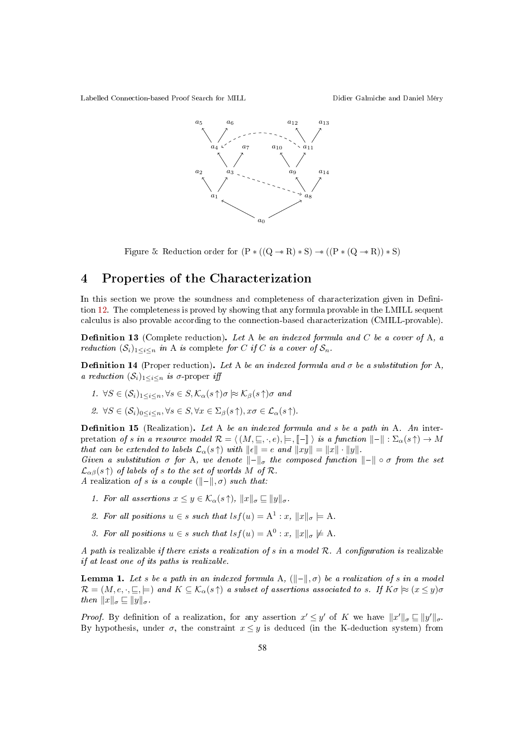

Figure 5: Reduction order for  $(P * ((Q \rightarrow R) * S) \rightarrow ((P * (Q \rightarrow R)) * S)$ 

### 4 Properties of the Characterization

In this section we prove the soundness and completeness of characterization given in Definition 12. The completeness is proved by showing that any formula provable in the LMILL sequent calculus is also provable according to the connection-based characterization (CMILL-provable).

**Definition 13** (Complete reduction). Let A be an indexed formula and C be a cover of A, a reduction  $(S_i)_{1 \leq i \leq n}$  in A is complete for C if C is a cover of  $S_n$ .

**Definition 14** (Proper reduction). Let A be an indexed formula and  $\sigma$  be a substitution for A, a reduction  $(\mathcal{S}_i)_{1 \leq i \leq n}$  is  $\sigma$ -proper iff

- 1.  $\forall S \in (\mathcal{S}_i)_{1 \leq i \leq n}, \forall s \in S, \mathcal{K}_{\alpha}(s^{\uparrow}) \sigma \approx \mathcal{K}_{\beta}(s^{\uparrow}) \sigma$  and
- 2.  $\forall S \in (\mathcal{S}_i)_{0 \leq i \leq n}, \forall s \in S, \forall x \in \Sigma_\beta(s \uparrow), x \sigma \in \mathcal{L}_\alpha(s \uparrow).$

**Definition 15** (Realization). Let A be an indexed formula and s be a path in A. An interpretation of s in a resource model  $\mathcal{R} = \langle (M, \subseteq, \cdot, e), \models, \llbracket - \rrbracket \rangle$  is a function  $\llbracket - \rrbracket : \Sigma_{\alpha}(s \uparrow) \rightarrow M$ that can be extended to labels  $\mathcal{L}_{\alpha}(s\uparrow)$  with  $\|\epsilon\| = e$  and  $\|xy\| = \|x\| \cdot \|y\|$ .

Given a substitution  $\sigma$  for A, we denote  $\|\text{-}\|_{\sigma}$  the composed function  $\|\text{-}\| \circ \sigma$  from the set  $\mathcal{L}_{\alpha\beta}(s\,\uparrow)$  of labels of s to the set of worlds M of R.

A realization of s is a couple  $(\|\n-\|, \sigma)$  such that:

- 1. For all assertions  $x \leq y \in \mathcal{K}_{\alpha}(s\,\uparrow), \|x\|_{\sigma} \sqsubseteq \|y\|_{\sigma}$ .
- 2. For all positions  $u \in s$  such that  $\left| \int s f(u) \right| = A^1 : x, \|x\|_{\sigma} \models A$ .
- 3. For all positions  $u \in s$  such that  $\left| \int s f(u) \right| = A^0 : x, \|x\|_{\sigma} \not\models A$ .

A path is realizable if there exists a realization of s in a model  $\mathcal{R}$ . A configuration is realizable if at least one of its paths is realizable.

**Lemma 1.** Let s be a path in an indexed formula A,  $(\Vert - \Vert, \sigma)$  be a realization of s in a model  $\mathcal{R} = (M, e, \cdot, \sqsubseteq, \models)$  and  $K \subseteq \mathcal{K}_{\alpha}(s \uparrow)$  a subset of assertions associated to s. If  $K\sigma \approx (x \leq y)\sigma$ then  $||x||_{\sigma} \sqsubseteq ||y||_{\sigma}$ .

*Proof.* By definition of a realization, for any assertion  $x' \leq y'$  of K we have  $||x'||_{\sigma} \sqsubseteq ||y'||_{\sigma}$ . By hypothesis, under  $\sigma$ , the constraint  $x \leq y$  is deduced (in the K-deduction system) from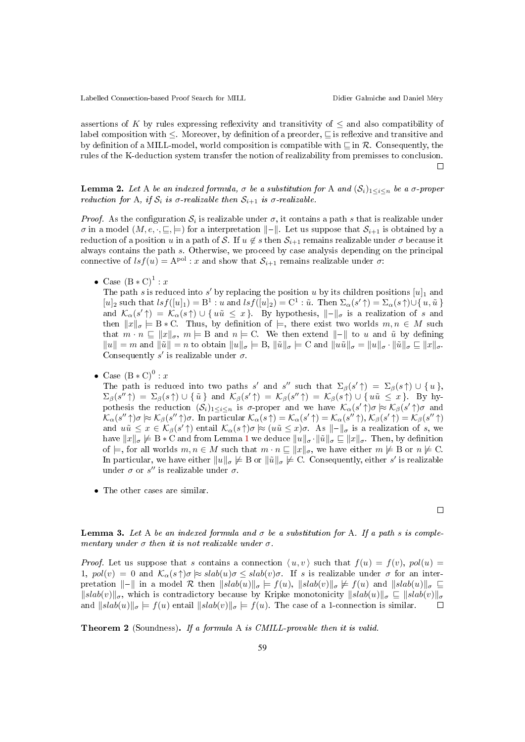assertions of K by rules expressing reflexivity and transitivity of  $\leq$  and also compatibility of label composition with  $\leq$ . Moreover, by definition of a preorder,  $\sqsubseteq$  is reflexive and transitive and by definition of a MILL-model, world composition is compatible with  $\sqsubseteq$  in R. Consequently, the rules of the K-deduction system transfer the notion of realizability from premisses to conclusion.  $\Box$ 

**Lemma 2.** Let A be an indexed formula,  $\sigma$  be a substitution for A and  $(S_i)_{1 \leq i \leq n}$  be a  $\sigma$ -proper reduction for A, if  $S_i$  is  $\sigma$ -realizable then  $S_{i+1}$  is  $\sigma$ -realizable.

*Proof.* As the configuration  $S_i$  is realizable under  $\sigma$ , it contains a path s that is realizable under  $\sigma$  in a model  $(M, e, \cdot, \sqsubseteq, \models)$  for a interpretation  $\Vert - \Vert$ . Let us suppose that  $\mathcal{S}_{i+1}$  is obtained by a reduction of a position u in a path of S. If  $u \notin s$  then  $S_{i+1}$  remains realizable under  $\sigma$  because it always contains the path s. Otherwise, we proceed by case analysis depending on the principal connective of  $lsf(u) = A^{pol}$ : x and show that  $S_{i+1}$  remains realizable under  $\sigma$ :

• Case  $(B*C)^{1}$ : x

The path s is reduced into s' by replacing the position u by its children positions  $[u]_1$  and  $[u]_2$  such that  $lsf([u]_1) = B^1 : u$  and  $lsf([u]_2) = C^1 : \tilde{u}$ . Then  $\Sigma_{\alpha}(s' \uparrow) = \Sigma_{\alpha}(s \uparrow) \cup \{u, \tilde{u}\}\$ and  $\mathcal{K}_{\alpha}(s' \uparrow) = \mathcal{K}_{\alpha}(s \uparrow) \cup \{u\tilde{u} \leq x\}$ . By hypothesis,  $\Vert - \Vert_{\sigma}$  is a realization of s and then  $||x||_{\sigma} \models B*C$ . Thus, by definition of  $\models$ , there exist two worlds  $m, n \in M$  such that  $m \cdot n \subseteq ||x||_{\sigma}$ ,  $m \models B$  and  $n \models C$ . We then extend  $||-||$  to u and uv by defining  $||u|| = m$  and  $||\tilde{u}|| = n$  to obtain  $||u||_{\sigma} \models B$ ,  $||\tilde{u}||_{\sigma} \models C$  and  $||u\tilde{u}||_{\sigma} = ||u||_{\sigma} \cdot ||\tilde{u}||_{\sigma} \sqsubseteq ||x||_{\sigma}$ . Consequently  $s'$  is realizable under  $\sigma$ .

• Case  $(B*C)^0 : x$ 

The path is reduced into two paths s' and s'' such that  $\Sigma_{\beta}(s' \uparrow) = \Sigma_{\beta}(s \uparrow) \cup \{u\},$  $\Sigma_{\beta}(s'' \uparrow) = \Sigma_{\beta}(s \uparrow) \cup \{\tilde{u}\}\$ and  $\mathcal{K}_{\beta}(s' \uparrow) = \mathcal{K}_{\beta}(s'' \uparrow) = \mathcal{K}_{\beta}(s \uparrow) \cup \{u\tilde{u} \leq x\}$ . By hypothesis the reduction  $(S_i)_{1 \leq i \leq n}$  is  $\sigma$ -proper and we have  $\mathcal{K}_{\alpha}(s' \uparrow) \sigma \approx \mathcal{K}_{\beta}(s' \uparrow) \sigma$  and  $\mathcal{K}_{\alpha}(s'' \uparrow) \sigma \approx \mathcal{K}_{\beta}(s'' \uparrow) \sigma$ . In particular  $\mathcal{K}_{\alpha}(s \uparrow) = \mathcal{K}_{\alpha}(s' \uparrow) = \mathcal{K}_{\alpha}(s'' \uparrow), \mathcal{K}_{\beta}(s' \uparrow) = \mathcal{K}_{\beta}(s'' \uparrow)$ and  $u\tilde{u} \leq x \in \mathcal{K}_{\beta}(s' \uparrow)$  entail  $\mathcal{K}_{\alpha}(s \uparrow) \sigma \approx (u\tilde{u} \leq x)\sigma$ . As  $\Vert - \Vert_{\sigma}$  is a realization of s, we have  $||x||_{\sigma} \not\models B * C$  and from Lemma 1 we deduce  $||u||_{\sigma} \cdot ||\tilde{u}||_{\sigma} \sqsubseteq ||x||_{\sigma}$ . Then, by definition of  $\models$ , for all worlds  $m, n \in M$  such that  $m \cdot n \subseteq ||x||_{\sigma}$ , we have either  $m \not\models B$  or  $n \not\models C$ . In particular, we have either  $||u||_{\sigma} \not\models B$  or  $||\tilde{u}||_{\sigma} \not\models C$ . Consequently, either s' is realizable under  $\sigma$  or  $s''$  is realizable under  $\sigma$ .

• The other cases are similar.

 $\Box$ 

**Lemma 3.** Let A be an indexed formula and  $\sigma$  be a substitution for A. If a path s is complementary under  $\sigma$  then it is not realizable under  $\sigma$ .

*Proof.* Let us suppose that s contains a connection  $\langle u, v \rangle$  such that  $f(u) = f(v)$ ,  $pol(u) =$ 1,  $pol(v) = 0$  and  $\mathcal{K}_{\alpha}(s\uparrow)\sigma \approx slab(u)\sigma \leq slab(v)\sigma$ . If s is realizable under  $\sigma$  for an interpretation  $\Vert - \Vert$  in a model R then  $\Vert$ slab $(u) \Vert_{\sigma} \models f(u)$ ,  $\Vert$ slab $(v) \Vert_{\sigma} \models f(u)$  and  $\Vert$ slab $(u) \Vert_{\sigma} \sqsubseteq$  $\|slab(v)\|_{\sigma}$ , which is contradictory because by Kripke monotonicity  $\|slab(u)\|_{\sigma} \subseteq \|slab(v)\|_{\sigma}$ <br>and  $\|slab(u)\|_{\sigma} \models f(u)$  entail  $\|slab(v)\|_{\sigma} \models f(u)$ . The case of a 1-connection is similar and  $\|slab(u)\|_{\sigma} \models f(u)$  entail  $\|slab(v)\|_{\sigma} \models f(u)$ . The case of a 1-connection is similar.

Theorem 2 (Soundness). If a formula A is CMILL-provable then it is valid.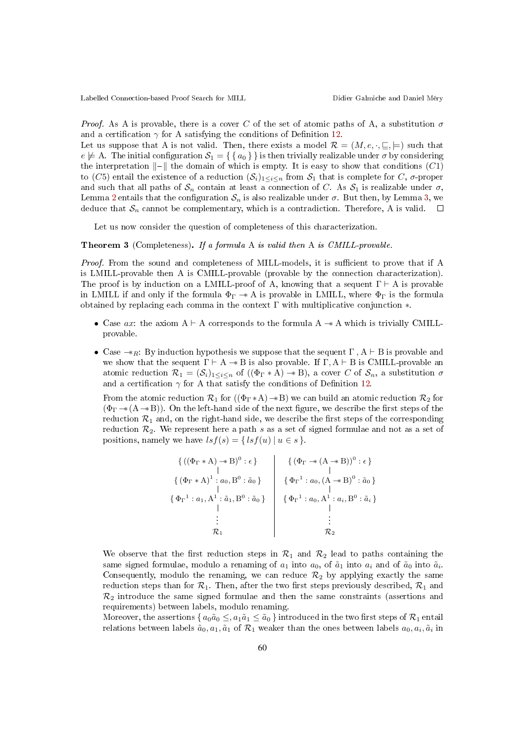*Proof.* As A is provable, there is a cover C of the set of atomic paths of A, a substitution  $\sigma$ and a certification  $\gamma$  for A satisfying the conditions of Definition 12.

Let us suppose that A is not valid. Then, there exists a model  $\mathcal{R} = (M, e, \cdot, \sqsubseteq, \models)$  such that  $e \not\models A$ . The initial configuration  $S_1 = \{ \{a_0\} \}$  is then trivially realizable under  $\sigma$  by considering the interpretation  $\Vert - \Vert$  the domain of which is empty. It is easy to show that conditions (C1) to (C5) entail the existence of a reduction  $(S_i)_{1\leq i\leq n}$  from  $S_1$  that is complete for C,  $\sigma$ -proper and such that all paths of  $S_n$  contain at least a connection of C. As  $S_1$  is realizable under  $\sigma$ , Lemma 2 entails that the configuration  $S_n$  is also realizable under  $\sigma$ . But then, by Lemma 3, we deduce that  $\mathcal{S}_n$  cannot be complementary, which is a contradiction. Therefore, A is valid.  $\square$ 

Let us now consider the question of completeness of this characterization.

#### Theorem 3 (Completeness). If a formula A is valid then A is CMILL-provable.

Proof. From the sound and completeness of MILL-models, it is sufficient to prove that if A is LMILL-provable then A is CMILL-provable (provable by the connection characterization). The proof is by induction on a LMILL-proof of A, knowing that a sequent  $\Gamma \vdash A$  is provable in LMILL if and only if the formula  $\Phi_{\Gamma} \rightarrow \mathbb{A}$  is provable in LMILL, where  $\Phi_{\Gamma}$  is the formula obtained by replacing each comma in the context Γ with multiplicative conjunction ∗.

- Case  $ax$ : the axiom  $A \vdash A$  corresponds to the formula  $A \rightarrow A$  which is trivially CMILLprovable.
- Case  $\rightarrow$  R: By induction hypothesis we suppose that the sequent  $\Gamma$ , A  $\vdash$  B is provable and we show that the sequent  $\Gamma \vdash A \twoheadrightarrow B$  is also provable. If  $\Gamma, A \vdash B$  is CMILL-provable an atomic reduction  $\mathcal{R}_1 = (\mathcal{S}_i)_{1 \leq i \leq n}$  of  $((\Phi_{\Gamma} * A) \rightarrow B)$ , a cover C of  $\mathcal{S}_n$ , a substitution  $\sigma$ and a certification  $\gamma$  for A that satisfy the conditions of Definition 12.

From the atomic reduction  $\mathcal{R}_1$  for  $((\Phi_{\Gamma} * A) \rightarrow B)$  we can build an atomic reduction  $\mathcal{R}_2$  for  $(\Phi_{\Gamma} \rightarrow (A \rightarrow B))$ . On the left-hand side of the next figure, we describe the first steps of the reduction  $\mathcal{R}_1$  and, on the right-hand side, we describe the first steps of the corresponding reduction  $\mathcal{R}_2$ . We represent here a path s as a set of signed formulae and not as a set of positions, namely we have  $lsf(s) = \{lsf(u) | u \in s\}.$ 

$$
\left\{\n\begin{array}{c}\n\{((\Phi_{\Gamma} * A) \rightarrow B)^0 : \epsilon\} \\
\downarrow \\
\{\ (\Phi_{\Gamma} * A)^1 : a_0, B^0 : \tilde{a}_0\} \\
\downarrow \\
\{\Phi_{\Gamma}^1 : a_1, A^1 : \tilde{a}_1, B^0 : \tilde{a}_0\}\n\end{array}\n\right\}\n\quad\n\left\{\n\begin{array}{c}\n\{(\Phi_{\Gamma} \rightarrow (A \rightarrow B))^0 : \epsilon\} \\
\downarrow \\
\{\Phi_{\Gamma}^1 : a_0, (A \rightarrow B)^0 : \tilde{a}_0\} \\
\downarrow \\
\{\Phi_{\Gamma}^1 : a_0, A^1 : a_i, B^0 : \tilde{a}_i\} \\
\downarrow \\
\vdots \\
\hmatrix \\
\mathcal{R}_2\n\end{array}
$$

We observe that the first reduction steps in  $\mathcal{R}_1$  and  $\mathcal{R}_2$  lead to paths containing the same signed formulae, modulo a renaming of  $a_1$  into  $a_0$ , of  $\tilde{a}_1$  into  $a_i$  and of  $\tilde{a}_0$  into  $\tilde{a}_i$ . Consequently, modulo the renaming, we can reduce  $\mathcal{R}_2$  by applying exactly the same reduction steps than for  $\mathcal{R}_1$ . Then, after the two first steps previously described,  $\mathcal{R}_1$  and  $\mathcal{R}_2$  introduce the same signed formulae and then the same constraints (assertions and requirements) between labels, modulo renaming.

Moreover, the assertions  $\{a_0\tilde{a}_0\leq, a_1\tilde{a}_1\leq \tilde{a}_0\}$  introduced in the two first steps of  $\mathcal{R}_1$  entail relations between labels  $\tilde{a}_0, a_1, \tilde{a}_1$  of  $\mathcal{R}_1$  weaker than the ones between labels  $a_0, a_i, \tilde{a}_i$  in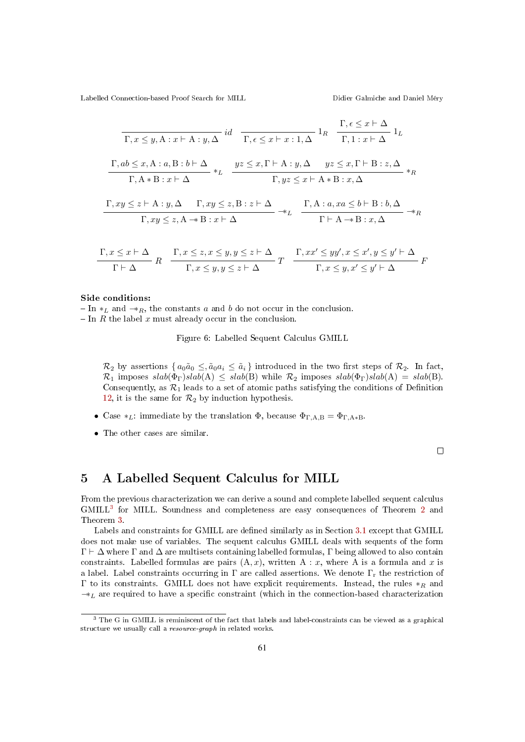$$
\begin{array}{c}\n\overline{\Gamma, x \leq y, A : x \vdash A : y, \Delta} \ id & \overline{\Gamma, \epsilon \leq x \vdash x : 1, \Delta} \ 1_R \quad \frac{\Gamma, \epsilon \leq x \vdash \Delta}{\Gamma, 1 : x \vdash \Delta} \ 1_L \\
\frac{\Gamma, ab \leq x, A : a, B : b \vdash \Delta}{\Gamma, A * B : x \vdash \Delta} *_{L} & \frac{yz \leq x, \Gamma \vdash A : y, \Delta \quad yz \leq x, \Gamma \vdash B : z, \Delta}{\Gamma, yz \leq x \vdash A * B : x, \Delta} *_{R} \\
\Gamma, xy \leq z \vdash A : y, \Delta \quad \Gamma, xy \leq z, B : z \vdash \Delta \quad \Gamma, A : a, xa \leq b \vdash B : b, \Delta\n\end{array}
$$

$$
\frac{\Gamma, xy \leq z \land A \cdot y, \Delta \quad 1, xy \leq z, \Delta \cdot z \land \Delta}{\Gamma, xy \leq z, A \to B : x \vdash \Delta} \xrightarrow{1, A \cdot a, xa \leq 0 \land B \cdot b, \Delta} \neg *_{R}
$$

$$
\frac{\Gamma}{\Gamma} \xrightarrow{\chi} \frac{\Gamma}{\Gamma} \xrightarrow{\Gamma} \frac{\Gamma}{\Gamma} \xrightarrow{\chi} \frac{\Gamma}{\Gamma} \xrightarrow{\chi} \frac{\Gamma}{\Gamma} \frac{\chi}{\Gamma} \frac{\chi}{\Gamma} \frac{\chi}{\Gamma} \frac{\chi}{\Gamma} \frac{\chi}{\Gamma} \frac{\chi}{\Gamma} \frac{\chi}{\Gamma} \frac{\chi}{\Gamma} \frac{\chi}{\Gamma} \frac{\chi}{\Gamma} \frac{\chi}{\Gamma} \frac{\chi}{\Gamma} \frac{\chi}{\Gamma} \frac{\chi}{\Gamma} \frac{\chi}{\Gamma} \frac{\chi}{\Gamma} \frac{\chi}{\Gamma} \frac{\chi}{\Gamma} \frac{\chi}{\Gamma} \frac{\chi}{\Gamma} \frac{\chi}{\Gamma} \frac{\chi}{\Gamma} \frac{\chi}{\Gamma} \frac{\chi}{\Gamma} \frac{\chi}{\Gamma} \frac{\chi}{\Gamma} \frac{\chi}{\Gamma} \frac{\chi}{\Gamma} \frac{\chi}{\Gamma} \frac{\chi}{\Gamma} \frac{\chi}{\Gamma} \frac{\chi}{\Gamma} \frac{\chi}{\Gamma} \frac{\chi}{\Gamma} \frac{\chi}{\Gamma} \frac{\chi}{\Gamma} \frac{\chi}{\Gamma} \frac{\chi}{\Gamma} \frac{\chi}{\Gamma} \frac{\chi}{\Gamma} \frac{\chi}{\Gamma} \frac{\chi}{\Gamma} \frac{\chi}{\Gamma} \frac{\chi}{\Gamma} \frac{\chi}{\Gamma} \frac{\chi}{\Gamma} \frac{\chi}{\Gamma} \frac{\chi}{\Gamma} \frac{\chi}{\Gamma} \frac{\chi}{\Gamma} \frac{\chi}{\Gamma} \frac{\chi}{\Gamma} \frac{\chi}{\Gamma} \frac{\chi}{\Gamma} \frac{\chi}{\Gamma} \frac{\chi}{\Gamma} \frac{\chi}{\Gamma} \frac{\chi}{\Gamma} \frac{\chi}{\Gamma} \frac{\chi}{\Gamma} \frac{\chi}{\Gamma} \frac{\chi}{\Gamma} \frac{\chi}{\Gamma} \frac{\chi}{\Gamma} \frac{\chi}{\Gamma} \frac{\chi}{\Gamma} \frac{\chi}{\Gamma} \frac{\chi}{\Gamma} \frac{\chi}{\Gamma} \frac{\chi}{\Gamma} \frac{\chi}{\Gamma} \frac{\chi}{\Gamma} \frac{\chi}{\Gamma} \frac{\chi}{\Gamma} \frac{\chi}{\Gamma} \frac{\chi}{\Gamma} \frac{\chi}{\Gamma} \frac{\chi}{\Gamma} \frac{\chi}{\Gamma} \frac{\chi}{\Gamma} \frac{\chi}{\Gamma} \frac{\chi}{\Gamma} \frac{\chi}{\Gamma} \frac{\chi}{\Gamma} \frac{\chi}{\Gamma} \frac{\chi}{\Gamma} \frac{\chi}{\Gamma}
$$

#### Side conditions:

 $-In *_{L}$  and  $-*_{R}$ , the constants a and b do not occur in the conclusion.  $\overline{\phantom{a}}$  In R the label x must already occur in the conclusion.

Figure 6: Labelled Sequent Calculus GMILL

 $\mathcal{R}_2$  by assertions  $\{a_0\tilde{a}_0 \leq \tilde{a}_0a_i \leq \tilde{a}_i\}$  introduced in the two first steps of  $\mathcal{R}_2$ . In fact,  $\mathcal{R}_1$  imposes  $slab(\Phi_{\Gamma})slab(A) \leq slab(B)$  while  $\mathcal{R}_2$  imposes  $slab(\Phi_{\Gamma})slab(A) = slab(B)$ . Consequently, as  $\mathcal{R}_1$  leads to a set of atomic paths satisfying the conditions of Definition 12, it is the same for  $\mathcal{R}_2$  by induction hypothesis.

- Case  $*_L$ : immediate by the translation  $\Phi$ , because  $\Phi_{\Gamma,A,B} = \Phi_{\Gamma,A*B}$ .
- The other cases are similar.

 $\Box$ 

### 5 A Labelled Sequent Calculus for MILL

From the previous characterization we can derive a sound and complete labelled sequent calculus GMILL<sup>3</sup> for MILL. Soundness and completeness are easy consequences of Theorem 2 and Theorem 3.

Labels and constraints for GMILL are defined similarly as in Section 3.1 except that GMILL does not make use of variables. The sequent calculus GMILL deals with sequents of the form  $\Gamma \vdash \Delta$  where  $\Gamma$  and  $\Delta$  are multisets containing labelled formulas,  $\Gamma$  being allowed to also contain constraints. Labelled formulas are pairs  $(A, x)$ , written A : x, where A is a formula and x is a label. Label constraints occurring in  $\Gamma$  are called assertions. We denote  $\Gamma_r$  the restriction of Γ to its constraints. GMILL does not have explicit requirements. Instead, the rules  $*<sub>R</sub>$  and  $\rightarrow$ <sub>L</sub> are required to have a specific constraint (which in the connection-based characterization

<sup>&</sup>lt;sup>3</sup> The G in GMILL is reminiscent of the fact that labels and label-constraints can be viewed as a graphical structure we usually call a resource-graph in related works.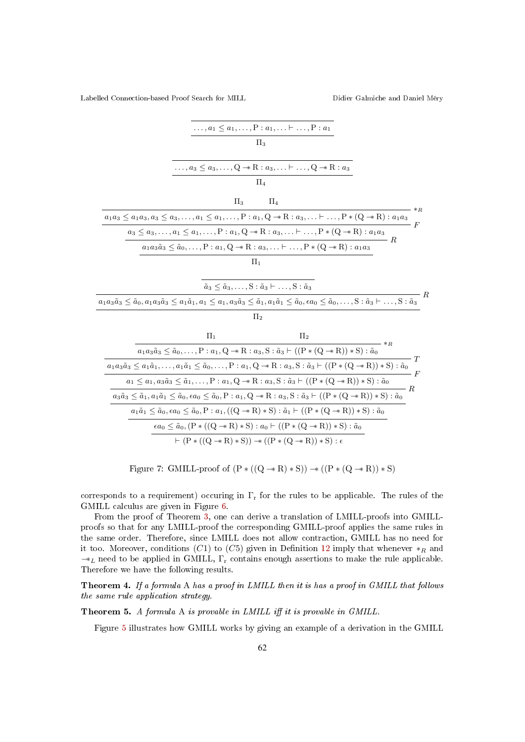| $\ldots, a_1 \leq a_1, \ldots, P : a_1, \ldots \vdash \ldots, P : a_1$                                                                                                                                                                           |              |
|--------------------------------------------------------------------------------------------------------------------------------------------------------------------------------------------------------------------------------------------------|--------------|
| $\Pi_3$                                                                                                                                                                                                                                          |              |
|                                                                                                                                                                                                                                                  |              |
| $\ldots, a_3 \leq a_3, \ldots, Q \rightarrow \mathbb{R} : a_3, \ldots \vdash \ldots, Q \rightarrow \mathbb{R} : a_3$                                                                                                                             |              |
| $\Pi_4$                                                                                                                                                                                                                                          |              |
| $\Pi_3$<br>$\Pi_4$                                                                                                                                                                                                                               |              |
| $a_1 a_3 \le a_1 a_3, a_3 \le a_3, \ldots, a_1 \le a_1, \ldots, P : a_1, Q \rightarrow R : a_3, \ldots \vdash \ldots, P * (Q \rightarrow R) : a_1 a_3$                                                                                           | ${}^{\ast}R$ |
| $a_3 \le a_3, \ldots, a_1 \le a_1, \ldots, P : a_1, Q \rightarrow R : a_3, \ldots \vdash \ldots, P * (Q \rightarrow R) : a_1 a_3$                                                                                                                | F            |
| $- R$<br>$a_1 a_3 \tilde{a}_3 \leq \tilde{a}_0, \ldots, P: a_1, Q \rightarrow R: a_3, \ldots \vdash \ldots, P * (Q \rightarrow R): a_1 a_3$                                                                                                      |              |
| $\Pi_1$                                                                                                                                                                                                                                          |              |
|                                                                                                                                                                                                                                                  |              |
| $\tilde{a}_3 \leq \tilde{a}_3, \ldots, S : \tilde{a}_3 \vdash \ldots, S : \tilde{a}_3$                                                                                                                                                           |              |
| $a_1a_3\tilde{a}_3 \leq \tilde{a}_0, a_1a_3\tilde{a}_3 \leq a_1\tilde{a}_1, a_1 \leq a_1, a_3\tilde{a}_3 \leq \tilde{a}_1, a_1\tilde{a}_1 \leq \tilde{a}_0, \epsilon a_0 \leq \tilde{a}_0, \ldots, S: \tilde{a}_3 \vdash \ldots, S: \tilde{a}_3$ |              |
| $\Pi_2$                                                                                                                                                                                                                                          |              |
| $\Pi_1$<br>$\Pi_2$                                                                                                                                                                                                                               |              |
| $*_{R}$<br>$a_1 a_3 \tilde{a}_3 \leq \tilde{a}_0, \ldots, P : a_1, Q \rightarrow R : a_3, S : \tilde{a}_3 \vdash ((P * (Q \rightarrow R)) * S) : \tilde{a}_0$                                                                                    |              |
| $a_1a_3\tilde{a}_3\leq a_1\tilde{a}_1,\ldots,a_1\tilde{a}_1\leq \tilde{a}_0,\ldots,P:a_1,Q\twoheadrightarrow R:a_3,S:\tilde{a}_3\vdash ((P*(Q\twoheadrightarrow R))\ast S):\tilde{a}_0$                                                          | Ŧ            |
| $a_1 \le a_1, a_3 \tilde{a}_3 \le \tilde{a}_1, \ldots, P : a_1, Q \rightarrow R : a_3, S : \tilde{a}_3 \vdash ((P * (Q \rightarrow R)) * S) : \tilde{a}_0$                                                                                       | $\cdot$ F    |
| $a_3\tilde{a}_3\leq \tilde{a}_1, a_1\tilde{a}_1\leq \tilde{a}_0, \epsilon a_0\leq \tilde{a}_0, P: a_1, Q\twoheadrightarrow R:a_3, S:\tilde{a}_3\vdash ((P*(Q\twoheadrightarrow R))\ast S):\tilde{a}_0$                                           | - R          |
| $a_1 \tilde{a}_1 \leq \tilde{a}_0, \epsilon a_0 \leq \tilde{a}_0, P: a_1, ((Q \rightarrow R) * S): \tilde{a}_1 \vdash ((P * (Q \rightarrow R)) * S): \tilde{a}_0$                                                                                |              |
| $\epsilon a_0 \leq \tilde{a}_0$ , $(P * ((Q \rightarrow R) * S) : a_0 \vdash ((P * (Q \rightarrow R)) * S) : \tilde{a}_0$                                                                                                                        |              |
| $\vdash (P * ((Q \rightarrow R) * S)) \rightarrow ((P * (Q \rightarrow R)) * S) : \epsilon$                                                                                                                                                      |              |
|                                                                                                                                                                                                                                                  |              |

Figure 7: GMILL-proof of  $(P * ((Q \rightarrow R) * S)) \rightarrow ((P * (Q \rightarrow R)) * S)$ 

corresponds to a requirement) occuring in  $\Gamma_r$  for the rules to be applicable. The rules of the GMILL calculus are given in Figure 6.

From the proof of Theorem 3, one can derive a translation of LMILL-proofs into GMILLproofs so that for any LMILL-proof the corresponding GMILL-proof applies the same rules in the same order. Therefore, since LMILL does not allow contraction, GMILL has no need for it too. Moreover, conditions (C1) to (C5) given in Definition 12 imply that whenever  $\ast_R$  and  $-$ \*<sub>L</sub> need to be applied in GMILL,  $\Gamma_r$  contains enough assertions to make the rule applicable. Therefore we have the following results.

Theorem 4. If a formula A has a proof in LMILL then it is has a proof in GMILL that follows the same rule application strategy.

Theorem 5. A formula A is provable in LMILL iff it is provable in GMILL.

Figure 5 illustrates how GMILL works by giving an example of a derivation in the GMILL